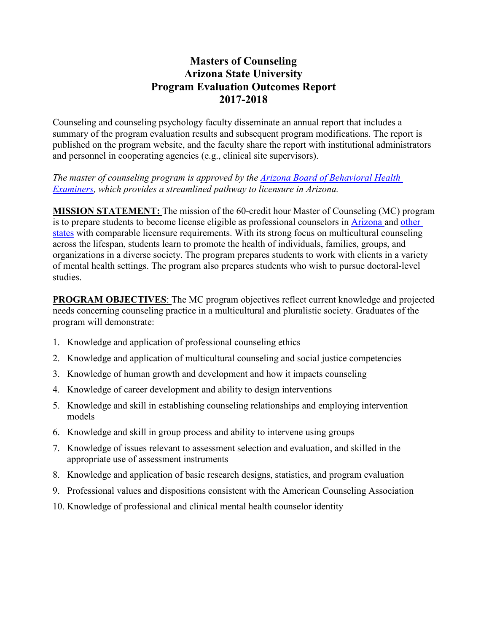## **Masters of Counseling Arizona State University Program Evaluation Outcomes Report 2017-2018**

Counseling and counseling psychology faculty disseminate an annual report that includes a summary of the program evaluation results and subsequent program modifications. The report is published on the program website, and the faculty share the report with institutional administrators and personnel in cooperating agencies (e.g., clinical site supervisors).

*The master of counseling program is approved by the [Arizona Board of Behavioral Health](https://www.azbbhe.us/pdfs/ARC/ASU%20Master%20of%20Counseling.pdf)  [Examiners,](https://www.azbbhe.us/pdfs/ARC/ASU%20Master%20of%20Counseling.pdf) which provides a streamlined pathway to licensure in Arizona.*

**MISSION STATEMENT:** The mission of the 60-credit hour Master of Counseling (MC) program is to prepare students to become license eligible as professional counselors in [Arizona a](https://www.azbbhe.us/node/556)nd [other](https://www.counseling.org/knowledge-center/licensure-requirements/state-professional-counselor-licensure-boards)  [states](https://www.counseling.org/knowledge-center/licensure-requirements/state-professional-counselor-licensure-boards) with comparable licensure requirements. With its strong focus on multicultural counseling across the lifespan, students learn to promote the health of individuals, families, groups, and organizations in a diverse society. The program prepares students to work with clients in a variety of mental health settings. The program also prepares students who wish to pursue doctoral-level studies.

**PROGRAM OBJECTIVES**: The MC program objectives reflect current knowledge and projected needs concerning counseling practice in a multicultural and pluralistic society. Graduates of the program will demonstrate:

- 1. Knowledge and application of professional counseling ethics
- 2. Knowledge and application of multicultural counseling and social justice competencies
- 3. Knowledge of human growth and development and how it impacts counseling
- 4. Knowledge of career development and ability to design interventions
- 5. Knowledge and skill in establishing counseling relationships and employing intervention models
- 6. Knowledge and skill in group process and ability to intervene using groups
- 7. Knowledge of issues relevant to assessment selection and evaluation, and skilled in the appropriate use of assessment instruments
- 8. Knowledge and application of basic research designs, statistics, and program evaluation
- 9. Professional values and dispositions consistent with the American Counseling Association
- 10. Knowledge of professional and clinical mental health counselor identity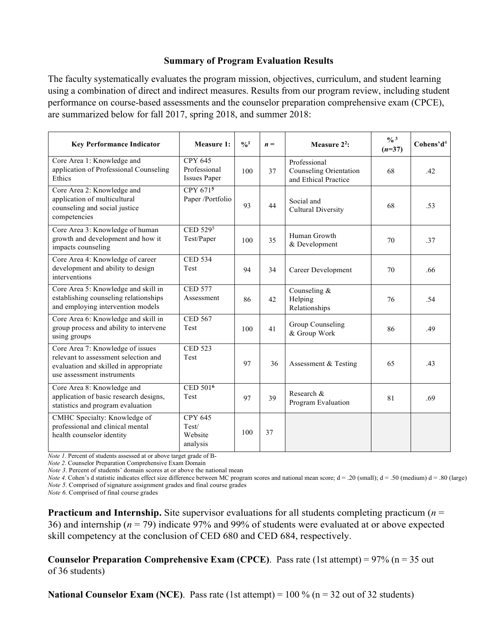## **Summary of Program Evaluation Results**

The faculty systematically evaluates the program mission, objectives, curriculum, and student learning using a combination of direct and indirect measures. Results from our program review, including student performance on course-based assessments and the counselor preparation comprehensive exam (CPCE), are summarized below for fall 2017, spring 2018, and summer 2018:

| <b>Key Performance Indicator</b>                                                                                                                | Measure 1:                                            | $\frac{0}{0}$ | $n =$ | Measure $2^2$ :                                                | $\frac{0}{0}$ <sup>3</sup><br>$(n=37)$ | Cohens'd <sup>4</sup> |
|-------------------------------------------------------------------------------------------------------------------------------------------------|-------------------------------------------------------|---------------|-------|----------------------------------------------------------------|----------------------------------------|-----------------------|
| Core Area 1: Knowledge and<br>application of Professional Counseling<br>Ethics                                                                  | <b>CPY 645</b><br>Professional<br><b>Issues Paper</b> | 100           | 37    | Professional<br>Counseling Orientation<br>and Ethical Practice | 68                                     | .42                   |
| Core Area 2: Knowledge and<br>application of multicultural<br>counseling and social justice<br>competencies                                     | CPY 671 <sup>5</sup><br>Paper /Portfolio              | 93            | 44    | Social and<br><b>Cultural Diversity</b>                        | 68                                     | .53                   |
| Core Area 3: Knowledge of human<br>growth and development and how it<br>impacts counseling                                                      | CED 5295<br>Test/Paper                                | 100           | 35    | Human Growth<br>& Development                                  | 70                                     | .37                   |
| Core Area 4: Knowledge of career<br>development and ability to design<br>interventions                                                          | <b>CED 534</b><br>Test                                | 94            | 34    | Career Development                                             | 70                                     | .66                   |
| Core Area 5: Knowledge and skill in<br>establishing counseling relationships<br>and employing intervention models                               | <b>CED 577</b><br>Assessment                          | 86            | 42    | Counseling &<br>Helping<br>Relationships                       | 76                                     | .54                   |
| Core Area 6: Knowledge and skill in<br>group process and ability to intervene<br>using groups                                                   | <b>CED 567</b><br>Test                                | 100           | 41    | Group Counseling<br>& Group Work                               | 86                                     | .49                   |
| Core Area 7: Knowledge of issues<br>relevant to assessment selection and<br>evaluation and skilled in appropriate<br>use assessment instruments | <b>CED 523</b><br>Test                                | 97            | 36    | Assessment & Testing                                           | 65                                     | .43                   |
| Core Area 8: Knowledge and<br>application of basic research designs,<br>statistics and program evaluation                                       | CED 501 <sup>6</sup><br>Test                          | 97            | 39    | Research &<br>Program Evaluation                               | 81                                     | .69                   |
| CMHC Specialty: Knowledge of<br>professional and clinical mental<br>health counselor identity                                                   | <b>CPY 645</b><br>Test/<br>Website<br>analysis        | 100           | 37    |                                                                |                                        |                       |

*Note 1*. Percent of students assessed at or above target grade of B-

*Note 2*. Counselor Preparation Comprehensive Exam Domain

*Note 3*. Percent of students' domain scores at or above the national mean

*Note* 4. Cohen's d statistic indicates effect size difference between MC program scores and national mean score; d = .20 (small); d = .50 (medium) d = .80 (large) *Note 5*. Comprised of signature assignment grades and final course grades

*Note 6*. Comprised of final course grades

**Practicum and Internship.** Site supervisor evaluations for all students completing practicum (*n* = 36) and internship (*n* = 79) indicate 97% and 99% of students were evaluated at or above expected skill competency at the conclusion of CED 680 and CED 684, respectively.

**Counselor Preparation Comprehensive Exam (CPCE)**. Pass rate (1st attempt) = 97% (n = 35 out of 36 students)

**National Counselor Exam (NCE).** Pass rate (1st attempt) =  $100\%$  (n =  $32$  out of  $32$  students)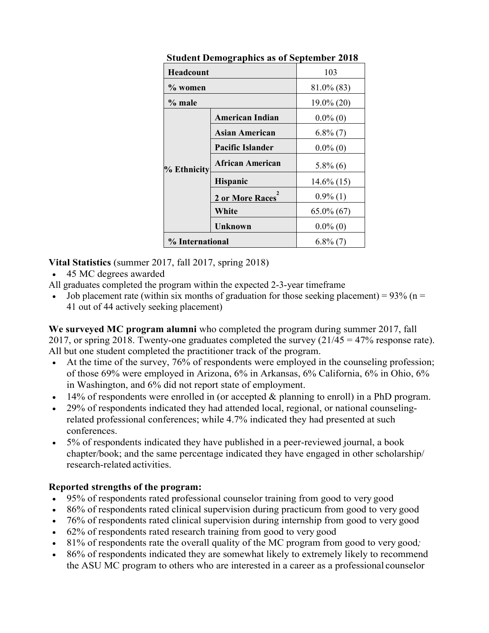| <b>Headcount</b> |                         | 103           |  |  |
|------------------|-------------------------|---------------|--|--|
| % women          |                         | $81.0\%$ (83) |  |  |
| % male           |                         | 19.0% (20)    |  |  |
| % Ethnicity      | <b>American Indian</b>  | $0.0\%$ (0)   |  |  |
|                  | <b>Asian American</b>   | $6.8\%$ $(7)$ |  |  |
|                  | <b>Pacific Islander</b> | $0.0\%$ (0)   |  |  |
|                  | <b>African American</b> | $5.8\%$ (6)   |  |  |
|                  | <b>Hispanic</b>         | $14.6\%$ (15) |  |  |
|                  | 2 or More Races         | $0.9\%$ (1)   |  |  |
|                  | White                   | $65.0\% (67)$ |  |  |
|                  | Unknown                 | $0.0\%$ (0)   |  |  |
| % International  |                         | $6.8\%$ $(7)$ |  |  |

**Student Demographics as of September 2018**

**Vital Statistics** (summer 2017, fall 2017, spring 2018)

• 45 MC degrees awarded

All graduates completed the program within the expected 2-3-year timeframe

• Job placement rate (within six months of graduation for those seeking placement) =  $93\%$  (n = 41 out of 44 actively seeking placement)

**We surveyed MC program alumni** who completed the program during summer 2017, fall 2017, or spring 2018. Twenty-one graduates completed the survey  $(21/45 = 47\%$  response rate). All but one student completed the practitioner track of the program.

- At the time of the survey, 76% of respondents were employed in the counseling profession; of those 69% were employed in Arizona, 6% in Arkansas, 6% California, 6% in Ohio, 6% in Washington, and 6% did not report state of employment.
- 14% of respondents were enrolled in (or accepted & planning to enroll) in a PhD program.
- 29% of respondents indicated they had attended local, regional, or national counselingrelated professional conferences; while 4.7% indicated they had presented at such conferences.
- 5% of respondents indicated they have published in a peer-reviewed journal, a book chapter/book; and the same percentage indicated they have engaged in other scholarship/ research-related activities.

## **Reported strengths of the program:**

- 95% of respondents rated professional counselor training from good to very good
- 86% of respondents rated clinical supervision during practicum from good to very good
- 76% of respondents rated clinical supervision during internship from good to very good
- 62% of respondents rated research training from good to very good
- 81% of respondents rate the overall quality of the MC program from good to very good*;*
- 86% of respondents indicated they are somewhat likely to extremely likely to recommend the ASU MC program to others who are interested in a career as a professional counselor